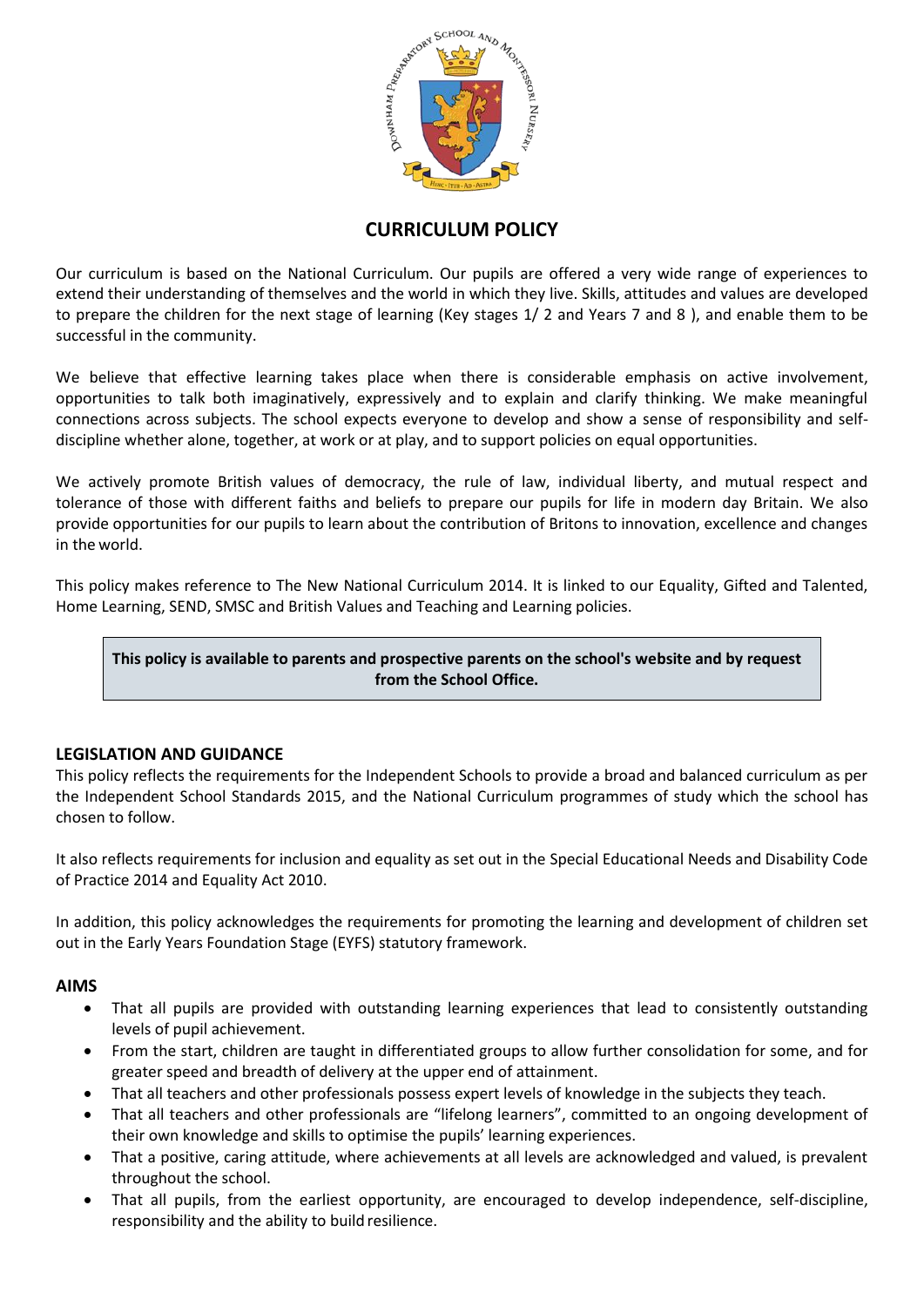

# **CURRICULUM POLICY**

Our curriculum is based on the National Curriculum. Our pupils are offered a very wide range of experiences to extend their understanding of themselves and the world in which they live. Skills, attitudes and values are developed to prepare the children for the next stage of learning (Key stages 1/ 2 and Years 7 and 8 ), and enable them to be successful in the community.

We believe that effective learning takes place when there is considerable emphasis on active involvement, opportunities to talk both imaginatively, expressively and to explain and clarify thinking. We make meaningful connections across subjects. The school expects everyone to develop and show a sense of responsibility and selfdiscipline whether alone, together, at work or at play, and to support policies on equal opportunities.

We actively promote British values of democracy, the rule of law, individual liberty, and mutual respect and tolerance of those with different faiths and beliefs to prepare our pupils for life in modern day Britain. We also provide opportunities for our pupils to learn about the contribution of Britons to innovation, excellence and changes in the world.

This policy makes reference to The New National Curriculum 2014. It is linked to our Equality, Gifted and Talented, Home Learning, SEND, SMSC and British Values and Teaching and Learning policies.

**This policy is available to parents and prospective parents on the school's website and by request from the School Office.** 

# **LEGISLATION AND GUIDANCE**

This policy reflects the requirements for the Independent Schools to provide a broad and balanced curriculum as per the Independent School Standards 2015, and the [National Curriculum programmes of study](https://www.gov.uk/government/collections/national-curriculum) which the school has chosen to follow.

It also reflects requirements for inclusion and equality as set out in the [Special Educational Needs and Disability Code](https://www.gov.uk/government/publications/send-code-of-practice-0-to-25)  [of Practice 2014](https://www.gov.uk/government/publications/send-code-of-practice-0-to-25) and [Equality Act 2010.](http://www.legislation.gov.uk/ukpga/2010/15/part/6/chapter/1)

In addition, this policy acknowledges the requirements for promoting the learning and development of children set out in the [Early Years Foundation Stage](https://www.gov.uk/government/uploads/system/uploads/attachment_data/file/596629/EYFS_STATUTORY_FRAMEWORK_2017.pdf) (EYFS) statutory framework.

#### **AIMS**

- That all pupils are provided with outstanding learning experiences that lead to consistently outstanding levels of pupil achievement.
- From the start, children are taught in differentiated groups to allow further consolidation for some, and for greater speed and breadth of delivery at the upper end of attainment.
- That all teachers and other professionals possess expert levels of knowledge in the subjects they teach.
- That all teachers and other professionals are "lifelong learners", committed to an ongoing development of their own knowledge and skills to optimise the pupils' learning experiences.
- That a positive, caring attitude, where achievements at all levels are acknowledged and valued, is prevalent throughout the school.
- That all pupils, from the earliest opportunity, are encouraged to develop independence, self-discipline, responsibility and the ability to build resilience.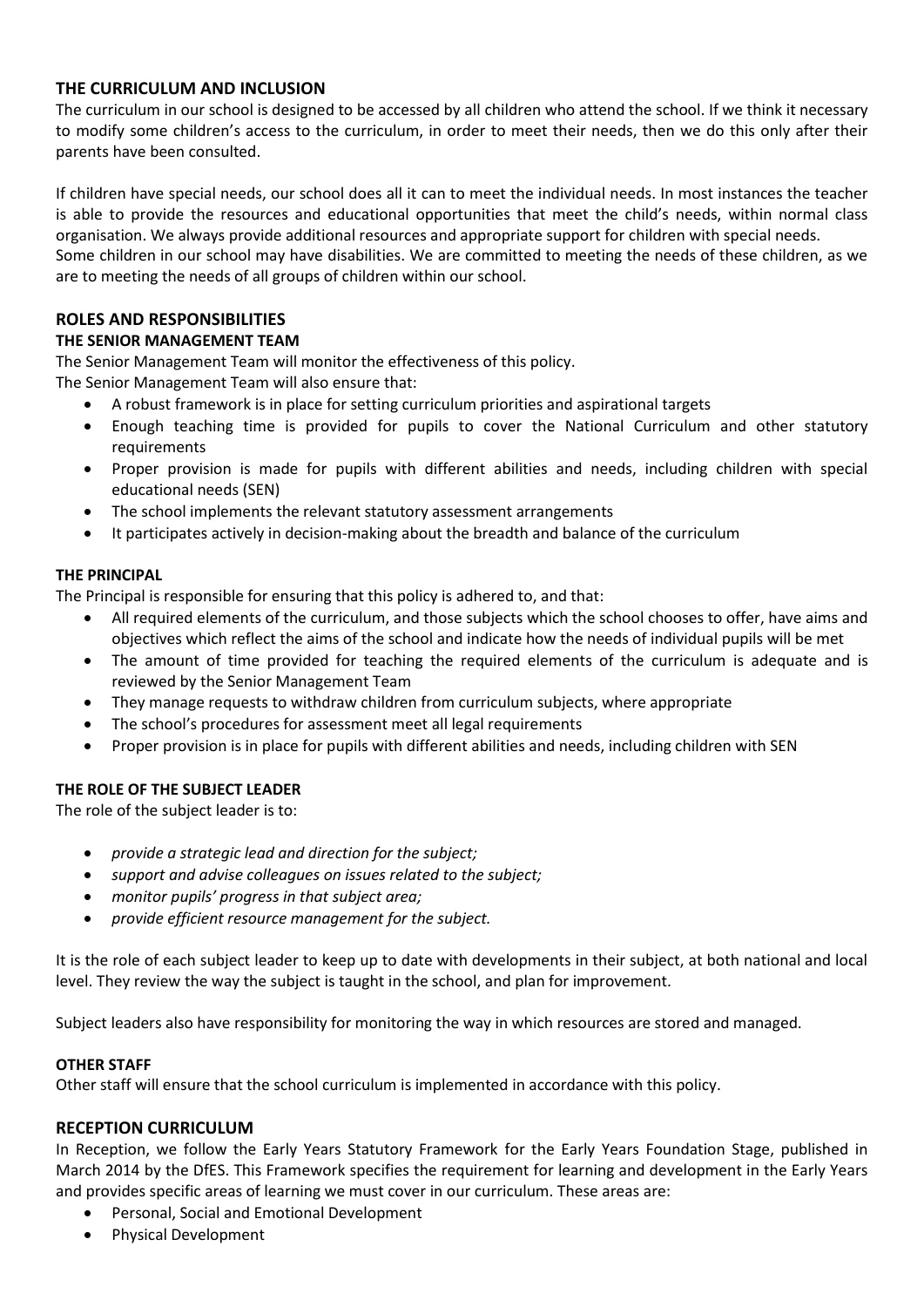## **THE CURRICULUM AND INCLUSION**

The curriculum in our school is designed to be accessed by all children who attend the school. If we think it necessary to modify some children's access to the curriculum, in order to meet their needs, then we do this only after their parents have been consulted.

If children have special needs, our school does all it can to meet the individual needs. In most instances the teacher is able to provide the resources and educational opportunities that meet the child's needs, within normal class organisation. We always provide additional resources and appropriate support for children with special needs.

Some children in our school may have disabilities. We are committed to meeting the needs of these children, as we are to meeting the needs of all groups of children within our school.

# **ROLES AND RESPONSIBILITIES**

## **THE SENIOR MANAGEMENT TEAM**

The Senior Management Team will monitor the effectiveness of this policy.

The Senior Management Team will also ensure that:

- A robust framework is in place for setting curriculum priorities and aspirational targets
- Enough teaching time is provided for pupils to cover the National Curriculum and other statutory requirements
- Proper provision is made for pupils with different abilities and needs, including children with special educational needs (SEN)
- The school implements the relevant statutory assessment arrangements
- It participates actively in decision-making about the breadth and balance of the curriculum

## **THE PRINCIPAL**

The Principal is responsible for ensuring that this policy is adhered to, and that:

- All required elements of the curriculum, and those subjects which the school chooses to offer, have aims and objectives which reflect the aims of the school and indicate how the needs of individual pupils will be met
- The amount of time provided for teaching the required elements of the curriculum is adequate and is reviewed by the Senior Management Team
- They manage requests to withdraw children from curriculum subjects, where appropriate
- The school's procedures for assessment meet all legal requirements
- Proper provision is in place for pupils with different abilities and needs, including children with SEN

#### **THE ROLE OF THE SUBJECT LEADER**

The role of the subject leader is to:

- *provide a strategic lead and direction for the subject;*
- *support and advise colleagues on issues related to the subject;*
- *monitor pupils' progress in that subject area;*
- *provide efficient resource management for the subject.*

It is the role of each subject leader to keep up to date with developments in their subject, at both national and local level. They review the way the subject is taught in the school, and plan for improvement.

Subject leaders also have responsibility for monitoring the way in which resources are stored and managed.

#### **OTHER STAFF**

Other staff will ensure that the school curriculum is implemented in accordance with this policy.

# **RECEPTION CURRICULUM**

In Reception, we follow the Early Years Statutory Framework for the Early Years Foundation Stage, published in March 2014 by the DfES. This Framework specifies the requirement for learning and development in the Early Years and provides specific areas of learning we must cover in our curriculum. These areas are:

- Personal, Social and Emotional Development
- Physical Development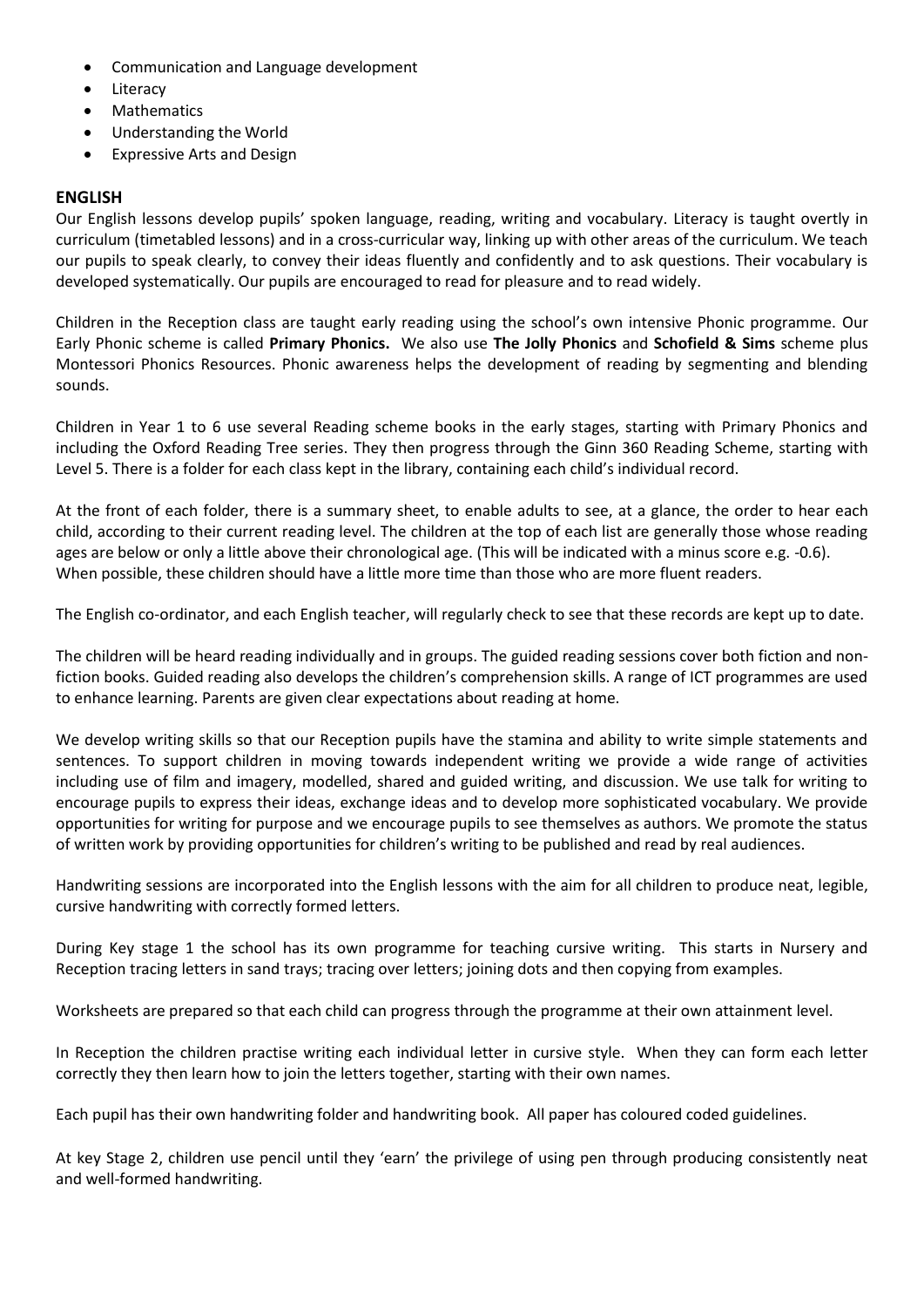- Communication and Language development
- Literacy
- Mathematics
- Understanding the World
- Expressive Arts and Design

## **ENGLISH**

Our English lessons develop pupils' spoken language, reading, writing and vocabulary. Literacy is taught overtly in curriculum (timetabled lessons) and in a cross-curricular way, linking up with other areas of the curriculum. We teach our pupils to speak clearly, to convey their ideas fluently and confidently and to ask questions. Their vocabulary is developed systematically. Our pupils are encouraged to read for pleasure and to read widely.

Children in the Reception class are taught early reading using the school's own intensive Phonic programme. Our Early Phonic scheme is called **Primary Phonics.** We also use **The Jolly Phonics** and **Schofield & Sims** scheme plus Montessori Phonics Resources. Phonic awareness helps the development of reading by segmenting and blending sounds.

Children in Year 1 to 6 use several Reading scheme books in the early stages, starting with Primary Phonics and including the Oxford Reading Tree series. They then progress through the Ginn 360 Reading Scheme, starting with Level 5. There is a folder for each class kept in the library, containing each child's individual record.

At the front of each folder, there is a summary sheet, to enable adults to see, at a glance, the order to hear each child, according to their current reading level. The children at the top of each list are generally those whose reading ages are below or only a little above their chronological age. (This will be indicated with a minus score e.g. -0.6). When possible, these children should have a little more time than those who are more fluent readers.

The English co-ordinator, and each English teacher, will regularly check to see that these records are kept up to date.

The children will be heard reading individually and in groups. The guided reading sessions cover both fiction and nonfiction books. Guided reading also develops the children's comprehension skills. A range of ICT programmes are used to enhance learning. Parents are given clear expectations about reading at home.

We develop writing skills so that our Reception pupils have the stamina and ability to write simple statements and sentences. To support children in moving towards independent writing we provide a wide range of activities including use of film and imagery, modelled, shared and guided writing, and discussion. We use talk for writing to encourage pupils to express their ideas, exchange ideas and to develop more sophisticated vocabulary. We provide opportunities for writing for purpose and we encourage pupils to see themselves as authors. We promote the status of written work by providing opportunities for children's writing to be published and read by real audiences.

Handwriting sessions are incorporated into the English lessons with the aim for all children to produce neat, legible, cursive handwriting with correctly formed letters.

During Key stage 1 the school has its own programme for teaching cursive writing. This starts in Nursery and Reception tracing letters in sand trays; tracing over letters; joining dots and then copying from examples.

Worksheets are prepared so that each child can progress through the programme at their own attainment level.

In Reception the children practise writing each individual letter in cursive style. When they can form each letter correctly they then learn how to join the letters together, starting with their own names.

Each pupil has their own handwriting folder and handwriting book. All paper has coloured coded guidelines.

At key Stage 2, children use pencil until they 'earn' the privilege of using pen through producing consistently neat and well-formed handwriting.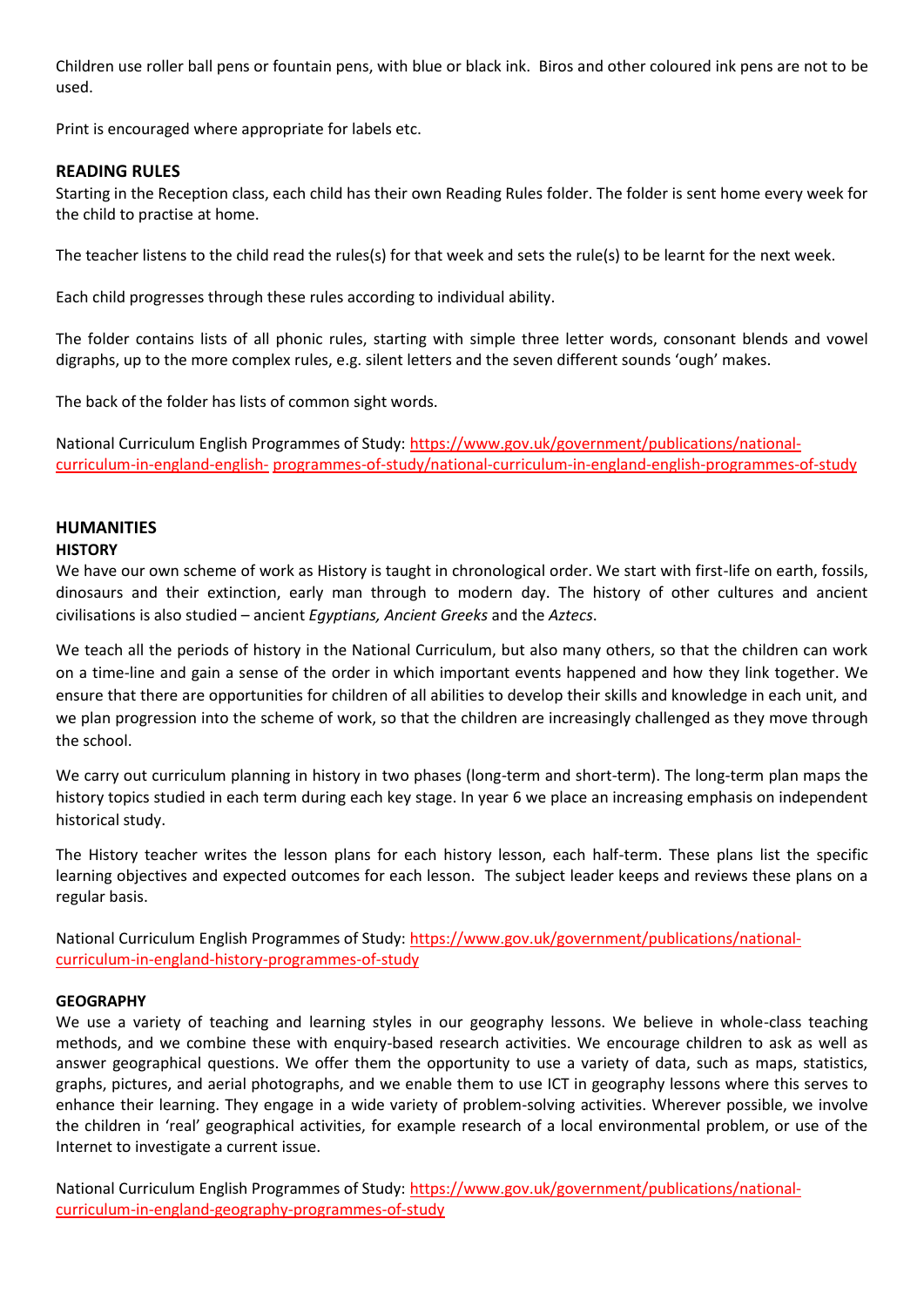Children use roller ball pens or fountain pens, with blue or black ink. Biros and other coloured ink pens are not to be used.

Print is encouraged where appropriate for labels etc.

## **READING RULES**

Starting in the Reception class, each child has their own Reading Rules folder. The folder is sent home every week for the child to practise at home.

The teacher listens to the child read the rules(s) for that week and sets the rule(s) to be learnt for the next week.

Each child progresses through these rules according to individual ability.

The folder contains lists of all phonic rules, starting with simple three letter words, consonant blends and vowel digraphs, up to the more complex rules, e.g. silent letters and the seven different sounds 'ough' makes.

The back of the folder has lists of common sight words.

National Curriculum English Programmes of Study: [https://www.gov.uk/government/publications/national](https://www.gov.uk/government/publications/national-curriculum-in-england-english-programmes-of-study/national-curriculum-in-england-english-programmes-of-study)[curriculum-in-england-english-](https://www.gov.uk/government/publications/national-curriculum-in-england-english-programmes-of-study/national-curriculum-in-england-english-programmes-of-study) [programmes-of-study/national-curriculum-in-england-english-programmes-of-study](https://www.gov.uk/government/publications/national-curriculum-in-england-english-programmes-of-study/national-curriculum-in-england-english-programmes-of-study)

# **HUMANITIES**

## **HISTORY**

We have our own scheme of work as History is taught in chronological order. We start with first-life on earth, fossils, dinosaurs and their extinction, early man through to modern day. The history of other cultures and ancient civilisations is also studied – ancient *Egyptians, Ancient Greeks* and the *Aztecs*.

We teach all the periods of history in the National Curriculum, but also many others, so that the children can work on a time-line and gain a sense of the order in which important events happened and how they link together. We ensure that there are opportunities for children of all abilities to develop their skills and knowledge in each unit, and we plan progression into the scheme of work, so that the children are increasingly challenged as they move through the school.

We carry out curriculum planning in history in two phases (long-term and short-term). The long-term plan maps the history topics studied in each term during each key stage. In year 6 we place an increasing emphasis on independent historical study.

The History teacher writes the lesson plans for each history lesson, each half-term. These plans list the specific learning objectives and expected outcomes for each lesson. The subject leader keeps and reviews these plans on a regular basis.

National Curriculum English Programmes of Study: [https://www.gov.uk/government/publications/national](https://www.gov.uk/government/publications/national-curriculum-in-england-history-programmes-of-study)[curriculum-in-england-history-programmes-of-study](https://www.gov.uk/government/publications/national-curriculum-in-england-history-programmes-of-study)

#### **GEOGRAPHY**

We use a variety of teaching and learning styles in our geography lessons. We believe in whole-class teaching methods, and we combine these with enquiry-based research activities. We encourage children to ask as well as answer geographical questions. We offer them the opportunity to use a variety of data, such as maps, statistics, graphs, pictures, and aerial photographs, and we enable them to use ICT in geography lessons where this serves to enhance their learning. They engage in a wide variety of problem-solving activities. Wherever possible, we involve the children in 'real' geographical activities, for example research of a local environmental problem, or use of the Internet to investigate a current issue.

National Curriculum English Programmes of Study: [https://www.gov.uk/government/publications/national](https://www.gov.uk/government/publications/national-curriculum-in-england-geography-programmes-of-study)[curriculum-in-england-geography-programmes-of-study](https://www.gov.uk/government/publications/national-curriculum-in-england-geography-programmes-of-study)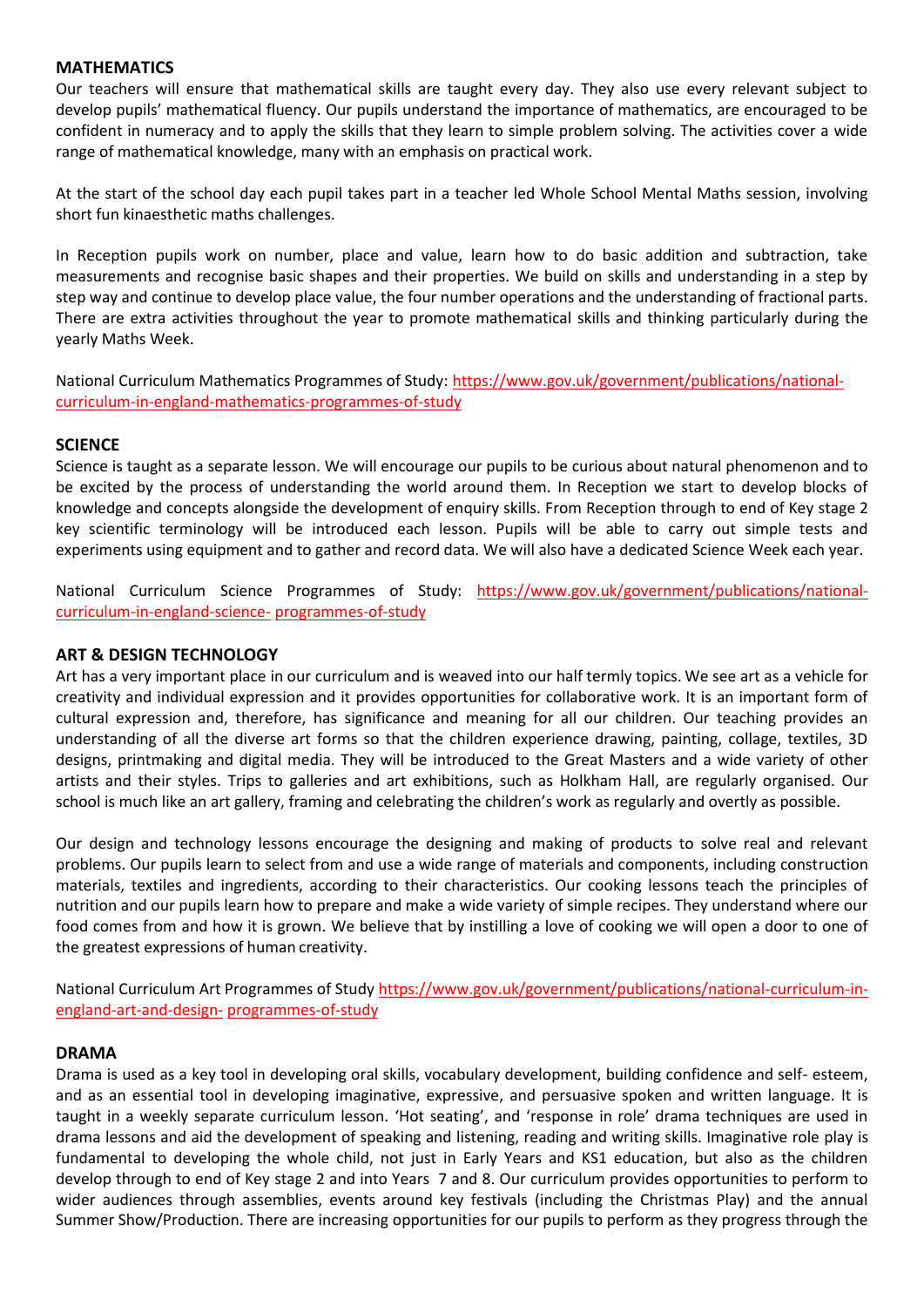## **MATHEMATICS**

Our teachers will ensure that mathematical skills are taught every day. They also use every relevant subject to develop pupils' mathematical fluency. Our pupils understand the importance of mathematics, are encouraged to be confident in numeracy and to apply the skills that they learn to simple problem solving. The activities cover a wide range of mathematical knowledge, many with an emphasis on practical work.

At the start of the school day each pupil takes part in a teacher led Whole School Mental Maths session, involving short fun kinaesthetic maths challenges.

In Reception pupils work on number, place and value, learn how to do basic addition and subtraction, take measurements and recognise basic shapes and their properties. We build on skills and understanding in a step by step way and continue to develop place value, the four number operations and the understanding of fractional parts. There are extra activities throughout the year to promote mathematical skills and thinking particularly during the yearly Maths Week.

National Curriculum Mathematics Programmes of Study: [https://www.gov.uk/government/publications/national](https://www.gov.uk/government/publications/national-curriculum-in-england-mathematics-programmes-of-study)[curriculum-in-england-mathematics-programmes-of-study](https://www.gov.uk/government/publications/national-curriculum-in-england-mathematics-programmes-of-study)

## **SCIENCE**

Science is taught as a separate lesson. We will encourage our pupils to be curious about natural phenomenon and to be excited by the process of understanding the world around them. In Reception we start to develop blocks of knowledge and concepts alongside the development of enquiry skills. From Reception through to end of Key stage 2 key scientific terminology will be introduced each lesson. Pupils will be able to carry out simple tests and experiments using equipment and to gather and record data. We will also have a dedicated Science Week each year.

National Curriculum Science Programmes of Study: [https://www.gov.uk/government/publications/national](https://www.gov.uk/government/publications/national-curriculum-in-england-science-programmes-of-study)[curriculum-in-england-science-](https://www.gov.uk/government/publications/national-curriculum-in-england-science-programmes-of-study) [programmes-of-study](https://www.gov.uk/government/publications/national-curriculum-in-england-science-programmes-of-study)

## **ART & DESIGN TECHNOLOGY**

Art has a very important place in our curriculum and is weaved into our half termly topics. We see art as a vehicle for creativity and individual expression and it provides opportunities for collaborative work. It is an important form of cultural expression and, therefore, has significance and meaning for all our children. Our teaching provides an understanding of all the diverse art forms so that the children experience drawing, painting, collage, textiles, 3D designs, printmaking and digital media. They will be introduced to the Great Masters and a wide variety of other artists and their styles. Trips to galleries and art exhibitions, such as Holkham Hall, are regularly organised. Our school is much like an art gallery, framing and celebrating the children's work as regularly and overtly as possible.

Our design and technology lessons encourage the designing and making of products to solve real and relevant problems. Our pupils learn to select from and use a wide range of materials and components, including construction materials, textiles and ingredients, according to their characteristics. Our cooking lessons teach the principles of nutrition and our pupils learn how to prepare and make a wide variety of simple recipes. They understand where our food comes from and how it is grown. We believe that by instilling a love of cooking we will open a door to one of the greatest expressions of human creativity.

National Curriculum Art Programmes of Study [https://www.gov.uk/government/publications/national-curriculum-in](https://www.gov.uk/government/publications/national-curriculum-in-england-art-and-design-programmes-of-study)[england-art-and-design-](https://www.gov.uk/government/publications/national-curriculum-in-england-art-and-design-programmes-of-study) [programmes-of-study](https://www.gov.uk/government/publications/national-curriculum-in-england-art-and-design-programmes-of-study)

#### **DRAMA**

Drama is used as a key tool in developing oral skills, vocabulary development, building confidence and self- esteem, and as an essential tool in developing imaginative, expressive, and persuasive spoken and written language. It is taught in a weekly separate curriculum lesson. 'Hot seating', and 'response in role' drama techniques are used in drama lessons and aid the development of speaking and listening, reading and writing skills. Imaginative role play is fundamental to developing the whole child, not just in Early Years and KS1 education, but also as the children develop through to end of Key stage 2 and into Years 7 and 8. Our curriculum provides opportunities to perform to wider audiences through assemblies, events around key festivals (including the Christmas Play) and the annual Summer Show/Production. There are increasing opportunities for our pupils to perform as they progress through the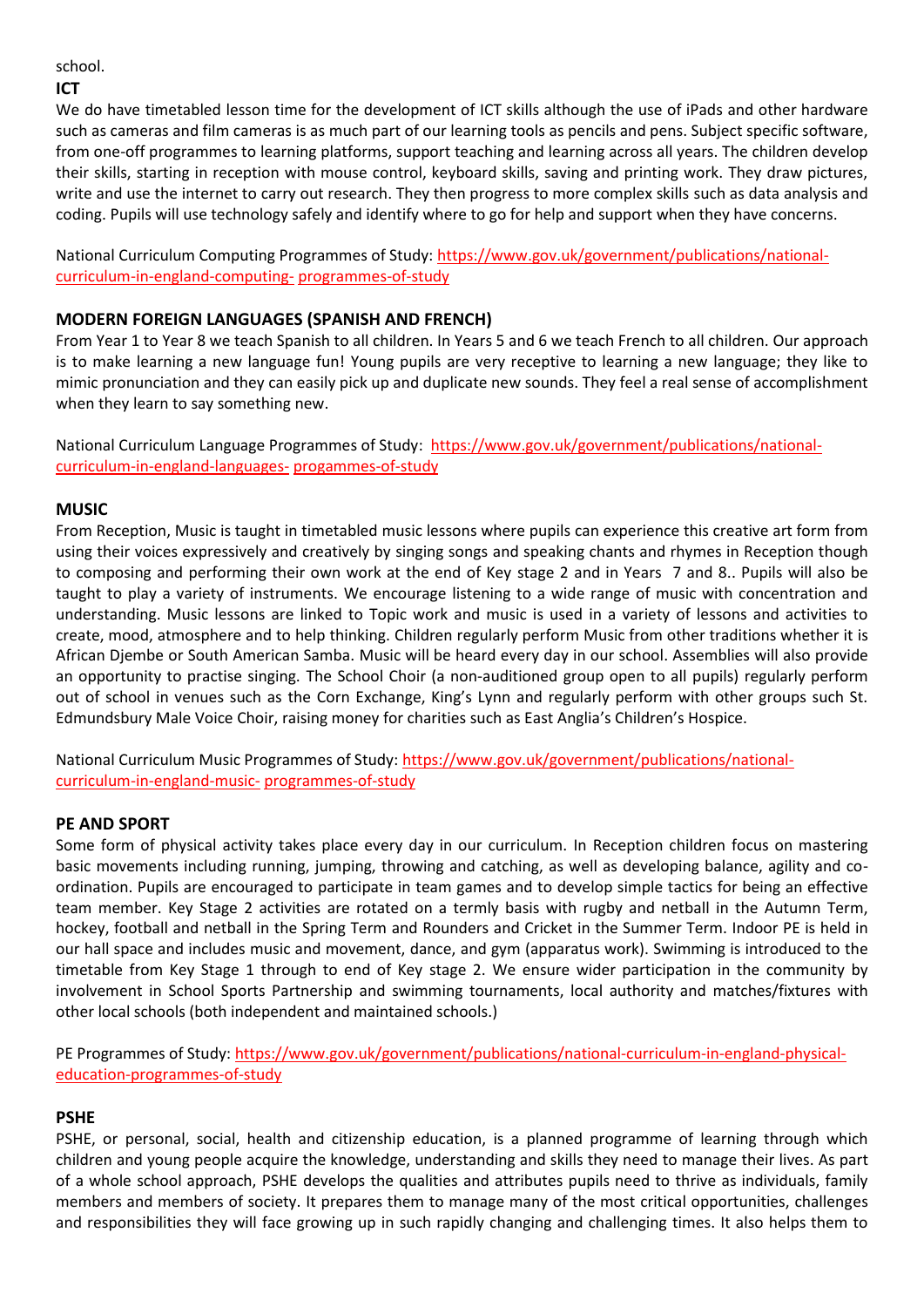#### school.

#### **ICT**

We do have timetabled lesson time for the development of ICT skills although the use of iPads and other hardware such as cameras and film cameras is as much part of our learning tools as pencils and pens. Subject specific software, from one-off programmes to learning platforms, support teaching and learning across all years. The children develop their skills, starting in reception with mouse control, keyboard skills, saving and printing work. They draw pictures, write and use the internet to carry out research. They then progress to more complex skills such as data analysis and coding. Pupils will use technology safely and identify where to go for help and support when they have concerns.

National Curriculum Computing Programmes of Study[: https://www.gov.uk/government/publications/national](https://www.gov.uk/government/publications/national-curriculum-in-england-computing-programmes-of-study)[curriculum-in-england-computing-](https://www.gov.uk/government/publications/national-curriculum-in-england-computing-programmes-of-study) [programmes-of-study](https://www.gov.uk/government/publications/national-curriculum-in-england-computing-programmes-of-study)

## **MODERN FOREIGN LANGUAGES (SPANISH AND FRENCH)**

From Year 1 to Year 8 we teach Spanish to all children. In Years 5 and 6 we teach French to all children. Our approach is to make learning a new language fun! Young pupils are very receptive to learning a new language; they like to mimic pronunciation and they can easily pick up and duplicate new sounds. They feel a real sense of accomplishment when they learn to say something new.

National Curriculum Language Programmes of Study: [https://www.gov.uk/government/publications/national](https://www.gov.uk/government/publications/national-curriculum-in-england-languages-progammes-of-study)[curriculum-in-england-languages-](https://www.gov.uk/government/publications/national-curriculum-in-england-languages-progammes-of-study) [progammes-of-study](https://www.gov.uk/government/publications/national-curriculum-in-england-languages-progammes-of-study)

## **MUSIC**

From Reception, Music is taught in timetabled music lessons where pupils can experience this creative art form from using their voices expressively and creatively by singing songs and speaking chants and rhymes in Reception though to composing and performing their own work at the end of Key stage 2 and in Years 7 and 8.. Pupils will also be taught to play a variety of instruments. We encourage listening to a wide range of music with concentration and understanding. Music lessons are linked to Topic work and music is used in a variety of lessons and activities to create, mood, atmosphere and to help thinking. Children regularly perform Music from other traditions whether it is African Djembe or South American Samba. Music will be heard every day in our school. Assemblies will also provide an opportunity to practise singing. The School Choir (a non-auditioned group open to all pupils) regularly perform out of school in venues such as the Corn Exchange, King's Lynn and regularly perform with other groups such St. Edmundsbury Male Voice Choir, raising money for charities such as East Anglia's Children's Hospice.

National Curriculum Music Programmes of Study: [https://www.gov.uk/government/publications/national](https://www.gov.uk/government/publications/national-curriculum-in-england-music-programmes-of-study)[curriculum-in-england-music-](https://www.gov.uk/government/publications/national-curriculum-in-england-music-programmes-of-study) [programmes-of-study](https://www.gov.uk/government/publications/national-curriculum-in-england-music-programmes-of-study)

# **PE AND SPORT**

Some form of physical activity takes place every day in our curriculum. In Reception children focus on mastering basic movements including running, jumping, throwing and catching, as well as developing balance, agility and coordination. Pupils are encouraged to participate in team games and to develop simple tactics for being an effective team member. Key Stage 2 activities are rotated on a termly basis with rugby and netball in the Autumn Term, hockey, football and netball in the Spring Term and Rounders and Cricket in the Summer Term. Indoor PE is held in our hall space and includes music and movement, dance, and gym (apparatus work). Swimming is introduced to the timetable from Key Stage 1 through to end of Key stage 2. We ensure wider participation in the community by involvement in School Sports Partnership and swimming tournaments, local authority and matches/fixtures with other local schools (both independent and maintained schools.)

PE Programmes of Study: [https://www.gov.uk/government/publications/national-curriculum-in-england-physical](https://www.gov.uk/government/publications/national-curriculum-in-england-physical-education-programmes-of-study)[education-programmes-of-study](https://www.gov.uk/government/publications/national-curriculum-in-england-physical-education-programmes-of-study)

# **PSHE**

PSHE, or personal, social, health and citizenship education, is a planned programme of learning through which children and young people acquire the knowledge, understanding and skills they need to manage their lives. As part of a whole school approach, PSHE develops the qualities and attributes pupils need to thrive as individuals, family members and members of society. It prepares them to manage many of the most critical opportunities, challenges and responsibilities they will face growing up in such rapidly changing and challenging times. It also helps them to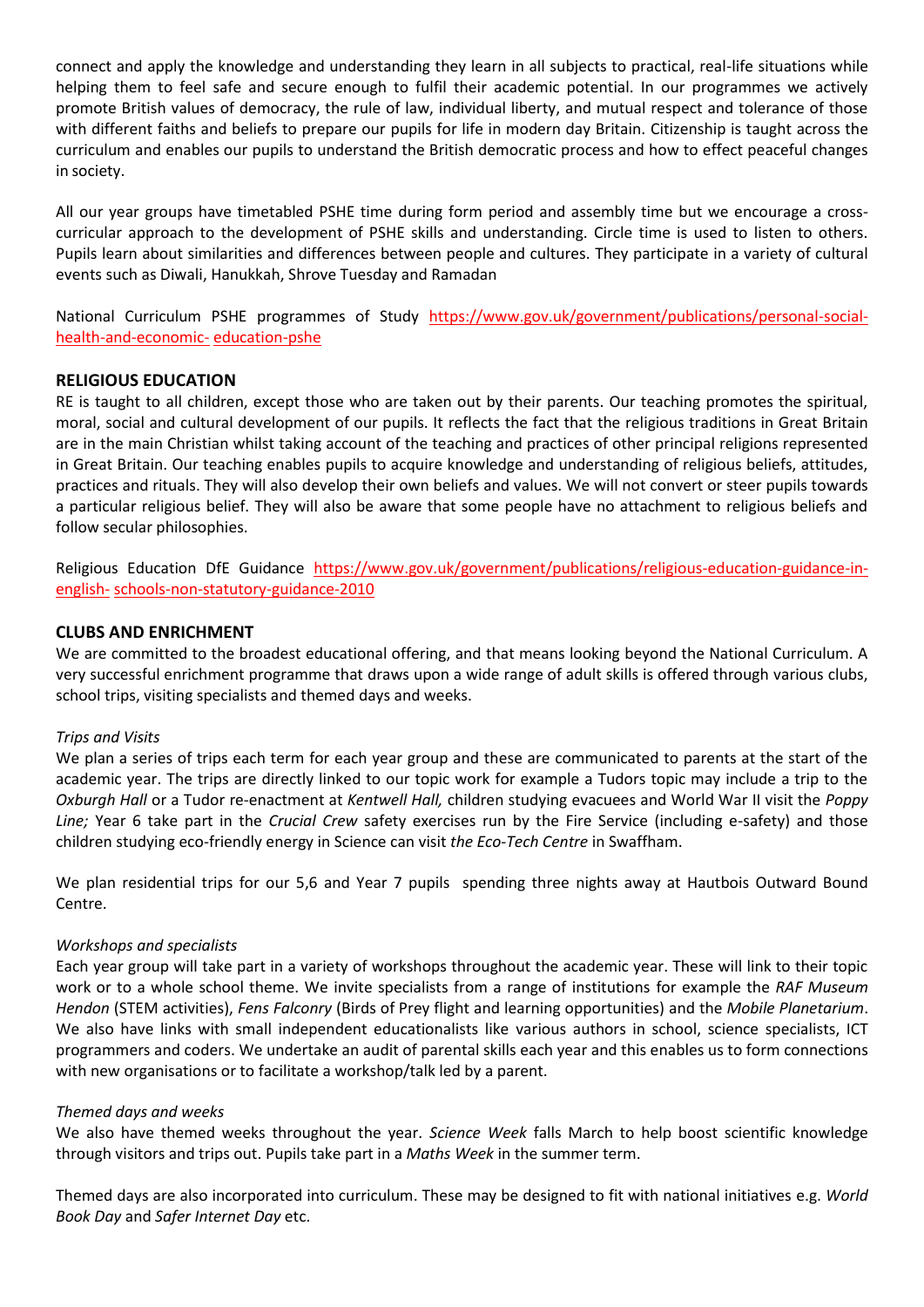connect and apply the knowledge and understanding they learn in all subjects to practical, real-life situations while helping them to feel safe and secure enough to fulfil their academic potential. In our programmes we actively promote British values of democracy, the rule of law, individual liberty, and mutual respect and tolerance of those with different faiths and beliefs to prepare our pupils for life in modern day Britain. Citizenship is taught across the curriculum and enables our pupils to understand the British democratic process and how to effect peaceful changes in society.

All our year groups have timetabled PSHE time during form period and assembly time but we encourage a crosscurricular approach to the development of PSHE skills and understanding. Circle time is used to listen to others. Pupils learn about similarities and differences between people and cultures. They participate in a variety of cultural events such as Diwali, Hanukkah, Shrove Tuesday and Ramadan

National Curriculum PSHE programmes of Study [https://www.gov.uk/government/publications/personal-social](https://www.gov.uk/government/publications/personal-social-health-and-economic-education-pshe)[health-and-economic-](https://www.gov.uk/government/publications/personal-social-health-and-economic-education-pshe) [education-pshe](https://www.gov.uk/government/publications/personal-social-health-and-economic-education-pshe)

## **RELIGIOUS EDUCATION**

RE is taught to all children, except those who are taken out by their parents. Our teaching promotes the spiritual, moral, social and cultural development of our pupils. It reflects the fact that the religious traditions in Great Britain are in the main Christian whilst taking account of the teaching and practices of other principal religions represented in Great Britain. Our teaching enables pupils to acquire knowledge and understanding of religious beliefs, attitudes, practices and rituals. They will also develop their own beliefs and values. We will not convert or steer pupils towards a particular religious belief. They will also be aware that some people have no attachment to religious beliefs and follow secular philosophies.

Religious Education DfE Guidance [https://www.gov.uk/government/publications/religious-education-guidance-in](https://www.gov.uk/government/publications/religious-education-guidance-in-english-schools-non-statutory-guidance-2010)[english-](https://www.gov.uk/government/publications/religious-education-guidance-in-english-schools-non-statutory-guidance-2010) [schools-non-statutory-guidance-2010](https://www.gov.uk/government/publications/religious-education-guidance-in-english-schools-non-statutory-guidance-2010)

#### **CLUBS AND ENRICHMENT**

We are committed to the broadest educational offering, and that means looking beyond the National Curriculum. A very successful enrichment programme that draws upon a wide range of adult skills is offered through various clubs, school trips, visiting specialists and themed days and weeks.

#### *Trips and Visits*

We plan a series of trips each term for each year group and these are communicated to parents at the start of the academic year. The trips are directly linked to our topic work for example a Tudors topic may include a trip to the *Oxburgh Hall* or a Tudor re-enactment at *Kentwell Hall,* children studying evacuees and World War II visit the *Poppy Line;* Year 6 take part in the *Crucial Crew* safety exercises run by the Fire Service (including e-safety) and those children studying eco-friendly energy in Science can visit *the Eco-Tech Centre* in Swaffham.

We plan residential trips for our 5,6 and Year 7 pupils spending three nights away at Hautbois Outward Bound Centre.

#### *Workshops and specialists*

Each year group will take part in a variety of workshops throughout the academic year. These will link to their topic work or to a whole school theme. We invite specialists from a range of institutions for example the *RAF Museum Hendon* (STEM activities), *Fens Falconry* (Birds of Prey flight and learning opportunities) and the *Mobile Planetarium*. We also have links with small independent educationalists like various authors in school, science specialists, ICT programmers and coders. We undertake an audit of parental skills each year and this enables us to form connections with new organisations or to facilitate a workshop/talk led by a parent.

#### *Themed days and weeks*

We also have themed weeks throughout the year. *Science Week* falls March to help boost scientific knowledge through visitors and trips out. Pupils take part in a *Maths Week* in the summer term.

Themed days are also incorporated into curriculum. These may be designed to fit with national initiatives e.g. *World Book Day* and *Safer Internet Day* etc.